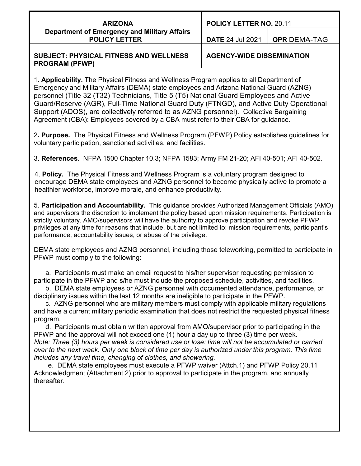| <b>ARIZONA</b>                               | <b>POLIC</b> |
|----------------------------------------------|--------------|
| Department of Emergency and Military Affairs |              |
| <b>POLICY LETTER</b>                         | <b>DATE</b>  |

**POLICY LETTER NO.** 20.11

**DATE** 24 Jul 2021 **OPR** DEMA-TAG

#### **SUBJECT: PHYSICAL FITNESS AND WELLNESS PROGRAM (PFWP)**

**AGENCY-WIDE DISSEMINATION** 

1. **Applicability.** The Physical Fitness and Wellness Program applies to all Department of Emergency and Military Affairs (DEMA) state employees and Arizona National Guard (AZNG) personnel (Title 32 (T32) Technicians, Title 5 (T5) National Guard Employees and Active Guard/Reserve (AGR), Full-Time National Guard Duty (FTNGD), and Active Duty Operational Support (ADOS), are collectively referred to as AZNG personnel). Collective Bargaining Agreement (CBA): Employees covered by a CBA must refer to their CBA for guidance.

2**. Purpose.** The Physical Fitness and Wellness Program (PFWP) Policy establishes guidelines for voluntary participation, sanctioned activities, and facilities.

3. **References.** NFPA 1500 Chapter 10.3; NFPA 1583; Army FM 21-20; AFI 40-501; AFI 40-502.

4. **Policy.** The Physical Fitness and Wellness Program is a voluntary program designed to encourage DEMA state employees and AZNG personnel to become physically active to promote a healthier workforce, improve morale, and enhance productivity.

5. **Participation and Accountability.** This guidance provides Authorized Management Officials (AMO) and supervisors the discretion to implement the policy based upon mission requirements. Participation is strictly voluntary. AMO/supervisors will have the authority to approve participation and revoke PFWP privileges at any time for reasons that include, but are not limited to: mission requirements, participant's performance, accountability issues, or abuse of the privilege.

DEMA state employees and AZNG personnel, including those teleworking, permitted to participate in PFWP must comply to the following:

a. Participants must make an email request to his/her supervisor requesting permission to participate in the PFWP and s/he must include the proposed schedule, activities, and facilities.

b. DEMA state employees or AZNG personnel with documented attendance, performance, or disciplinary issues within the last 12 months are ineligible to participate in the PFWP.

c. AZNG personnel who are military members must comply with applicable military regulations and have a current military periodic examination that does not restrict the requested physical fitness program.

d. Participants must obtain written approval from AMO/supervisor prior to participating in the PFWP and the approval will not exceed one (1) hour a day up to three (3) time per week. *Note: Three (3) hours per week is considered use or lose: time will not be accumulated or carried over to the next week. Only one block of time per day is authorized under this program. This time includes any travel time, changing of clothes, and showering.*

e. DEMA state employees must execute a PFWP waiver (Attch.1) and PFWP Policy 20.11 Acknowledgment (Attachment 2) prior to approval to participate in the program, and annually thereafter.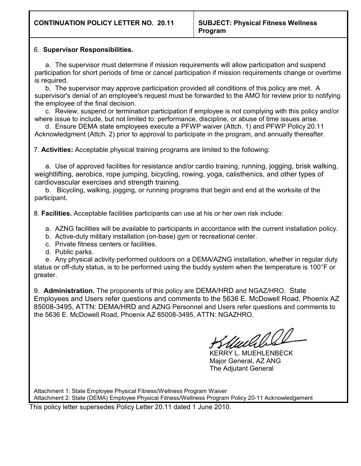#### 6. **Supervisor Responsibilities.**

a. The supervisor must determine if mission requirements will allow participation and suspend participation for short periods of time or cancel participation if mission requirements change or overtime is required.

b. The supervisor may approve participation provided all conditions of this policy are met. A supervisor's denial of an employee's request must be forwarded to the AMO for review prior to notifying the employee of the final decision.

c. Review, suspend or termination participation if employee is not complying with this policy and/or where issue to include, but not limited to: performance, discipline, or abuse of time issues arise.

d. Ensure DEMA state employees execute a PFWP waiver (Attch. 1) and PFWP Policy 20.11 Acknowledgment (Attch. 2) prior to approval to participate in the program, and annually thereafter.

7. **Activities:** Acceptable physical training programs are limited to the following:

a. Use of approved facilities for resistance and/or cardio training, running, jogging, brisk walking, weightlifting, aerobics, rope jumping, bicycling, rowing, yoga, calisthenics, and other types of cardiovascular exercises and strength training.

b. Bicycling, walking, jogging, or running programs that begin and end at the worksite of the participant.

8. **Facilities.** Acceptable facilities participants can use at his or her own risk include:

a. AZNG facilities will be available to participants in accordance with the current installation policy.

b. Active-duty military installation (on-base) gym or recreational center.

c. Private fitness centers or facilities.

d. Public parks.

e. Any physical activity performed outdoors on a DEMA/AZNG installation, whether in regular duty status or off-duty status, is to be performed using the buddy system when the temperature is 100°F or greater.

9. **Administration.** The proponents of this policy are DEMA/HRD and NGAZ/HRO. State Employees and Users refer questions and comments to the 5636 E. McDowell Road, Phoenix AZ 85008-3495, ATTN: DEMA/HRD and AZNG Personnel and Users refer questions and comments to the 5636 E. McDowell Road, Phoenix AZ 85008-3495, ATTN: NGAZHRO.

Wilds

KERRY L. MUEHLENBECK Major General, AZ ANG The Adjutant General

Attachment 1: State Employee Physical Fitness/Wellness Program Waiver Attachment 2: State (DEMA) Employee Physical Fitness/Wellness Program Policy 20-11 Acknowledgement

This policy letter supersedes Policy Letter 20.11 dated 1 June 2010.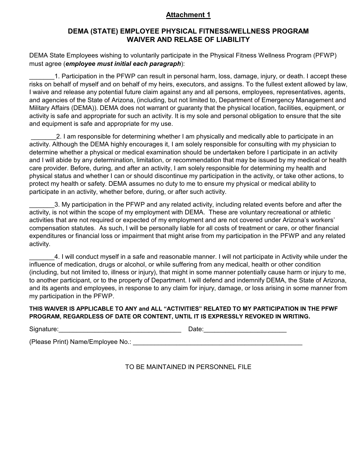### **Attachment 1**

### **DEMA (STATE) EMPLOYEE PHYSICAL FITNESS/WELLNESS PROGRAM WAIVER AND RELASE OF LIABILITY**

DEMA State Employees wishing to voluntarily participate in the Physical Fitness Wellness Program (PFWP) must agree (*employee must initial each paragraph*):

1. Participation in the PFWP can result in personal harm, loss, damage, injury, or death. I accept these risks on behalf of myself and on behalf of my heirs, executors, and assigns. To the fullest extent allowed by law, I waive and release any potential future claim against any and all persons, employees, representatives, agents, and agencies of the State of Arizona, (including, but not limited to, Department of Emergency Management and Military Affairs (DEMA)). DEMA does not warrant or guaranty that the physical location, facilities, equipment, or activity is safe and appropriate for such an activity. It is my sole and personal obligation to ensure that the site and equipment is safe and appropriate for my use.

2. I am responsible for determining whether I am physically and medically able to participate in an activity. Although the DEMA highly encourages it, I am solely responsible for consulting with my physician to determine whether a physical or medical examination should be undertaken before I participate in an activity and I will abide by any determination, limitation, or recommendation that may be issued by my medical or health care provider. Before, during, and after an activity, I am solely responsible for determining my health and physical status and whether I can or should discontinue my participation in the activity, or take other actions, to protect my health or safety. DEMA assumes no duty to me to ensure my physical or medical ability to participate in an activity, whether before, during, or after such activity.

\_\_\_\_\_\_\_3. My participation in the PFWP and any related activity, including related events before and after the activity, is not within the scope of my employment with DEMA. These are voluntary recreational or athletic activities that are not required or expected of my employment and are not covered under Arizona's workers' compensation statutes. As such, I will be personally liable for all costs of treatment or care, or other financial expenditures or financial loss or impairment that might arise from my participation in the PFWP and any related activity.

\_\_\_\_\_\_\_4. I will conduct myself in a safe and reasonable manner. I will not participate in Activity while under the influence of medication, drugs or alcohol, or while suffering from any medical, health or other condition (including, but not limited to, illness or injury), that might in some manner potentially cause harm or injury to me, to another participant, or to the property of Department. I will defend and indemnify DEMA, the State of Arizona, and its agents and employees, in response to any claim for injury, damage, or loss arising in some manner from my participation in the PFWP.

#### **THIS WAIVER IS APPLICABLE TO ANY and ALL "ACTIVITIES" RELATED TO MY PARTICIPATION IN THE PFWF PROGRAM, REGARDLESS OF DATE OR CONTENT, UNTIL IT IS EXPRESSLY REVOKED IN WRITING.**

| Signature:                        | Date: |  |
|-----------------------------------|-------|--|
| (Please Print) Name/Employee No.: |       |  |

TO BE MAINTAINED IN PERSONNEL FILE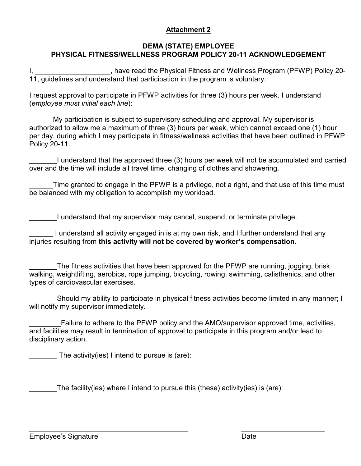# **Attachment 2**

# **DEMA (STATE) EMPLOYEE PHYSICAL FITNESS/WELLNESS PROGRAM POLICY 20-11 ACKNOWLEDGEMENT**

, have read the Physical Fitness and Wellness Program (PFWP) Policy 20-11, guidelines and understand that participation in the program is voluntary.

I request approval to participate in PFWP activities for three (3) hours per week. I understand (*employee must initial each line*):

My participation is subject to supervisory scheduling and approval. My supervisor is authorized to allow me a maximum of three (3) hours per week, which cannot exceed one (1) hour per day, during which I may participate in fitness/wellness activities that have been outlined in PFWP Policy 20-11.

\_\_\_\_\_\_\_I understand that the approved three (3) hours per week will not be accumulated and carried over and the time will include all travel time, changing of clothes and showering.

Time granted to engage in the PFWP is a privilege, not a right, and that use of this time must be balanced with my obligation to accomplish my workload.

I understand that my supervisor may cancel, suspend, or terminate privilege.

I understand all activity engaged in is at my own risk, and I further understand that any injuries resulting from **this activity will not be covered by worker's compensation.**

The fitness activities that have been approved for the PFWP are running, jogging, brisk walking, weightlifting, aerobics, rope jumping, bicycling, rowing, swimming, calisthenics, and other types of cardiovascular exercises.

Should my ability to participate in physical fitness activities become limited in any manner; I will notify my supervisor immediately.

Failure to adhere to the PFWP policy and the AMO/supervisor approved time, activities, and facilities may result in termination of approval to participate in this program and/or lead to disciplinary action.

The activity(ies) I intend to pursue is (are):

The facility(ies) where I intend to pursue this (these) activity(ies) is (are):

 $\overline{a_1}$  , and the contribution of the contribution of the contribution of the contribution of the contribution of the contribution of the contribution of the contribution of the contribution of the contribution of the